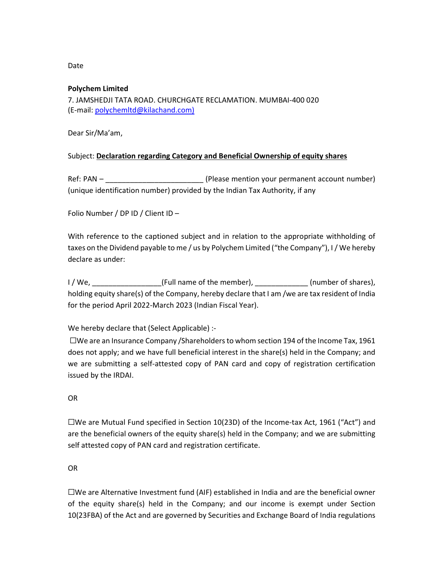# Date

#### **Polychem Limited**

7. JAMSHEDJI TATA ROAD. CHURCHGATE RECLAMATION. MUMBAI-400 020 (E-mail: polychemltd@kilachand.com)

Dear Sir/Ma'am,

# Subject: **Declaration regarding Category and Beneficial Ownership of equity shares**

Ref: PAN – \_\_\_\_\_\_\_\_\_\_\_\_\_\_\_\_\_\_\_\_\_\_\_\_\_\_\_\_\_\_\_\_\_(Please mention your permanent account number) (unique identification number) provided by the Indian Tax Authority, if any

Folio Number / DP ID / Client ID –

With reference to the captioned subject and in relation to the appropriate withholding of taxes on the Dividend payable to me / us by Polychem Limited ("the Company"), I / We hereby declare as under:

I / We, \_\_\_\_\_\_\_\_\_\_\_\_\_\_\_\_\_(Full name of the member), \_\_\_\_\_\_\_\_\_\_\_\_\_ (number of shares), holding equity share(s) of the Company, hereby declare that I am /we are tax resident of India for the period April 2022-March 2023 (Indian Fiscal Year).

We hereby declare that (Select Applicable) :-

 $\square$ We are an Insurance Company /Shareholders to whom section 194 of the Income Tax, 1961 does not apply; and we have full beneficial interest in the share(s) held in the Company; and we are submitting a self-attested copy of PAN card and copy of registration certification issued by the IRDAI.

#### OR

 $\square$ We are Mutual Fund specified in Section 10(23D) of the Income-tax Act, 1961 ("Act") and are the beneficial owners of the equity share(s) held in the Company; and we are submitting self attested copy of PAN card and registration certificate.

# OR

☐We are Alternative Investment fund (AIF) established in India and are the beneficial owner of the equity share(s) held in the Company; and our income is exempt under Section 10(23FBA) of the Act and are governed by Securities and Exchange Board of India regulations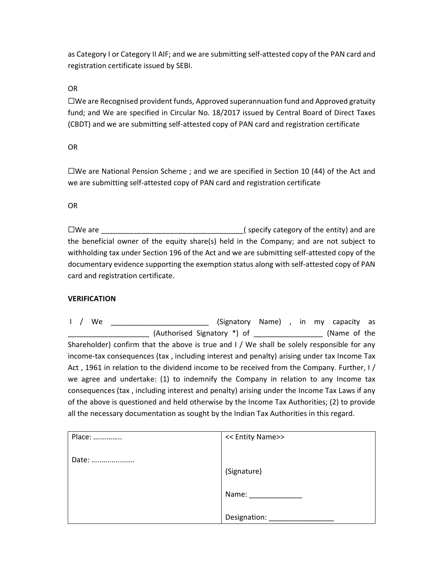as Category I or Category II AIF; and we are submitting self-attested copy of the PAN card and registration certificate issued by SEBI.

#### OR

 $\square$ We are Recognised provident funds, Approved superannuation fund and Approved gratuity fund; and We are specified in Circular No. 18/2017 issued by Central Board of Direct Taxes (CBDT) and we are submitting self-attested copy of PAN card and registration certificate

## OR

 $\square$ We are National Pension Scheme ; and we are specified in Section 10 (44) of the Act and we are submitting self-attested copy of PAN card and registration certificate

## OR

☐We are \_\_\_\_\_\_\_\_\_\_\_\_\_\_\_\_\_\_\_\_\_\_\_\_\_\_\_\_\_\_\_\_\_\_\_( specify category of the entity) and are the beneficial owner of the equity share(s) held in the Company; and are not subject to withholding tax under Section 196 of the Act and we are submitting self-attested copy of the documentary evidence supporting the exemption status along with self-attested copy of PAN card and registration certificate.

# **VERIFICATION**

I / We \_\_\_\_\_\_\_\_\_\_\_\_\_\_\_\_\_\_\_\_\_\_\_\_\_\_ (Signatory Name) , in my capacity as \_\_\_\_\_\_\_\_\_\_\_\_\_\_\_\_\_\_\_\_ (Authorised Signatory \*) of \_\_\_\_\_\_\_\_\_\_\_\_\_\_\_\_\_ (Name of the Shareholder) confirm that the above is true and I / We shall be solely responsible for any income-tax consequences (tax , including interest and penalty) arising under tax Income Tax Act , 1961 in relation to the dividend income to be received from the Company. Further, I / we agree and undertake: (1) to indemnify the Company in relation to any Income tax consequences (tax , including interest and penalty) arising under the Income Tax Laws if any of the above is questioned and held otherwise by the Income Tax Authorities; (2) to provide all the necessary documentation as sought by the Indian Tax Authorities in this regard.

| Place: | << Entity Name>>    |
|--------|---------------------|
| Date:  |                     |
|        | (Signature)         |
|        | Name: $\frac{1}{2}$ |
|        |                     |
|        | Designation:        |